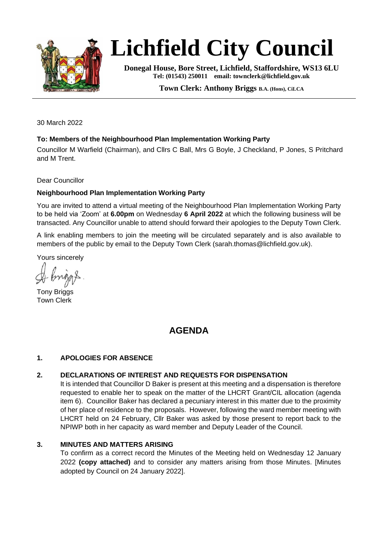

# **Lichfield City Council**

**Donegal House, Bore Street, Lichfield, Staffordshire, WS13 6LU Tel: (01543) 250011 email: townclerk@lichfield.gov.uk** 

**Town Clerk: Anthony Briggs B.A. (Hons), CiLCA**

30 March 2022

#### **To: Members of the Neighbourhood Plan Implementation Working Party**

Councillor M Warfield (Chairman), and Cllrs C Ball, Mrs G Boyle, J Checkland, P Jones, S Pritchard and M Trent.

Dear Councillor

#### **Neighbourhood Plan Implementation Working Party**

You are invited to attend a virtual meeting of the Neighbourhood Plan Implementation Working Party to be held via 'Zoom' at **6.00pm** on Wednesday **6 April 2022** at which the following business will be transacted. Any Councillor unable to attend should forward their apologies to the Deputy Town Clerk.

A link enabling members to join the meeting will be circulated separately and is also available to members of the public by email to the Deputy Town Clerk (sarah.thomas@lichfield.gov.uk).

Yours sincerely

Tony Briggs Town Clerk

## **AGENDA**

#### **1. APOLOGIES FOR ABSENCE**

#### **2. DECLARATIONS OF INTEREST AND REQUESTS FOR DISPENSATION**

It is intended that Councillor D Baker is present at this meeting and a dispensation is therefore requested to enable her to speak on the matter of the LHCRT Grant/CIL allocation (agenda item 6). Councillor Baker has declared a pecuniary interest in this matter due to the proximity of her place of residence to the proposals. However, following the ward member meeting with LHCRT held on 24 February, Cllr Baker was asked by those present to report back to the NPIWP both in her capacity as ward member and Deputy Leader of the Council.

#### **3. MINUTES AND MATTERS ARISING**

To confirm as a correct record the Minutes of the Meeting held on Wednesday 12 January 2022 **(copy attached)** and to consider any matters arising from those Minutes. [Minutes adopted by Council on 24 January 2022].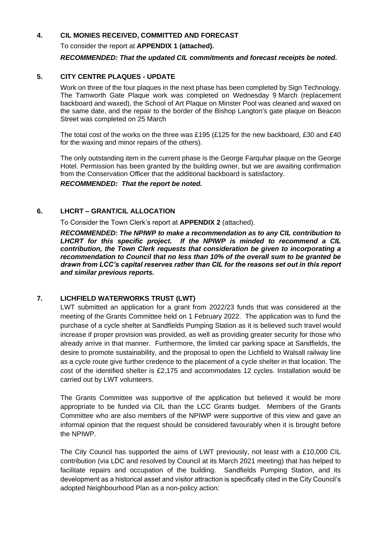#### **4. CIL MONIES RECEIVED, COMMITTED AND FORECAST**

To consider the report at **APPENDIX 1 (attached).** 

#### *RECOMMENDED: That the updated CIL commitments and forecast receipts be noted.*

#### **5. CITY CENTRE PLAQUES - UPDATE**

Work on three of the four plaques in the next phase has been completed by Sign Technology. The Tamworth Gate Plaque work was completed on Wednesday 9 March (replacement backboard and waxed), the School of Art Plaque on Minster Pool was cleaned and waxed on the same date, and the repair to the border of the Bishop Langton's gate plaque on Beacon Street was completed on 25 March

The total cost of the works on the three was £195 (£125 for the new backboard, £30 and £40 for the waxing and minor repairs of the others).

The only outstanding item in the current phase is the George Farquhar plaque on the George Hotel. Permission has been granted by the building owner, but we are awaiting confirmation from the Conservation Officer that the additional backboard is satisfactory.

*RECOMMENDED: That the report be noted.*

#### **6. LHCRT – GRANT/CIL ALLOCATION**

To Consider the Town Clerk's report at **APPENDIX 2** (attached).

*RECOMMENDED: The NPIWP to make a recommendation as to any CIL contribution to LHCRT for this specific project. If the NPIWP is minded to recommend a CIL contribution, the Town Clerk requests that consideration be given to incorporating a recommendation to Council that no less than 10% of the overall sum to be granted be drawn from LCC's capital reserves rather than CIL for the reasons set out in this report and similar previous reports.*

#### **7. LICHFIELD WATERWORKS TRUST (LWT)**

LWT submitted an application for a grant from 2022/23 funds that was considered at the meeting of the Grants Committee held on 1 February 2022. The application was to fund the purchase of a cycle shelter at Sandfields Pumping Station as it is believed such travel would increase if proper provision was provided, as well as providing greater security for those who already arrive in that manner. Furthermore, the limited car parking space at Sandfields, the desire to promote sustainability, and the proposal to open the Lichfield to Walsall railway line as a cycle route give further credence to the placement of a cycle shelter in that location. The cost of the identified shelter is £2,175 and accommodates 12 cycles. Installation would be carried out by LWT volunteers.

The Grants Committee was supportive of the application but believed it would be more appropriate to be funded via CIL than the LCC Grants budget. Members of the Grants Committee who are also members of the NPIWP were supportive of this view and gave an informal opinion that the request should be considered favourably when it is brought before the NPIWP.

The City Council has supported the aims of LWT previously, not least with a £10,000 CIL contribution (via LDC and resolved by Council at its March 2021 meeting) that has helped to facilitate repairs and occupation of the building. Sandfields Pumping Station, and its development as a historical asset and visitor attraction is specifically cited in the City Council's adopted Neighbourhood Plan as a non-policy action: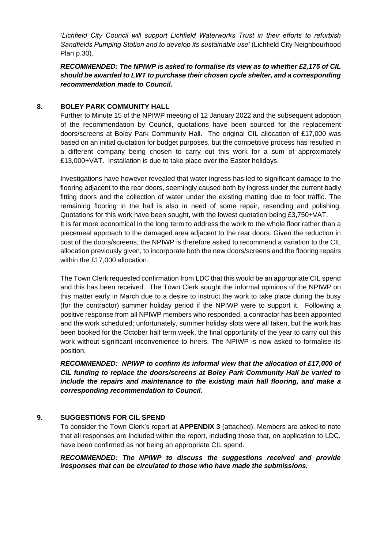*'Lichfield City Council will support Lichfield Waterworks Trust in their efforts to refurbish Sandfields Pumping Station and to develop its sustainable use'* (Lichfield City Neighbourhood Plan p.30).

*RECOMMENDED: The NPIWP is asked to formalise its view as to whether £2,175 of CIL should be awarded to LWT to purchase their chosen cycle shelter, and a corresponding recommendation made to Council.*

#### **8. BOLEY PARK COMMUNITY HALL**

Further to Minute 15 of the NPIWP meeting of 12 January 2022 and the subsequent adoption of the recommendation by Council, quotations have been sourced for the replacement doors/screens at Boley Park Community Hall. The original CIL allocation of £17,000 was based on an initial quotation for budget purposes, but the competitive process has resulted in a different company being chosen to carry out this work for a sum of approximately £13,000+VAT. Installation is due to take place over the Easter holidays.

Investigations have however revealed that water ingress has led to significant damage to the flooring adjacent to the rear doors, seemingly caused both by ingress under the current badly fitting doors and the collection of water under the existing matting due to foot traffic. The remaining flooring in the hall is also in need of some repair, resending and polishing. Quotations for this work have been sought, with the lowest quotation being £3,750+VAT. It is far more economical in the long term to address the work to the whole floor rather than a piecemeal approach to the damaged area adjacent to the rear doors. Given the reduction in cost of the doors/screens, the NPIWP is therefore asked to recommend a variation to the CIL allocation previously given, to incorporate both the new doors/screens and the flooring repairs within the £17,000 allocation.

The Town Clerk requested confirmation from LDC that this would be an appropriate CIL spend and this has been received. The Town Clerk sought the informal opinions of the NPIWP on this matter early in March due to a desire to instruct the work to take place during the busy (for the contractor) summer holiday period if the NPIWP were to support it. Following a positive response from all NPIWP members who responded, a contractor has been appointed and the work scheduled; unfortunately, summer holiday slots were all taken, but the work has been booked for the October half term week, the final opportunity of the year to carry out this work without significant inconvenience to hirers. The NPIWP is now asked to formalise its position.

*RECOMMENDED: NPIWP to confirm its informal view that the allocation of £17,000 of CIL funding to replace the doors/screens at Boley Park Community Hall be varied to include the repairs and maintenance to the existing main hall flooring, and make a corresponding recommendation to Council.*

#### **9. SUGGESTIONS FOR CIL SPEND**

To consider the Town Clerk's report at **APPENDIX 3** (attached). Members are asked to note that all responses are included within the report, including those that, on application to LDC, have been confirmed as not being an appropriate CIL spend.

*RECOMMENDED: The NPIWP to discuss the suggestions received and provide iresponses that can be circulated to those who have made the submissions.*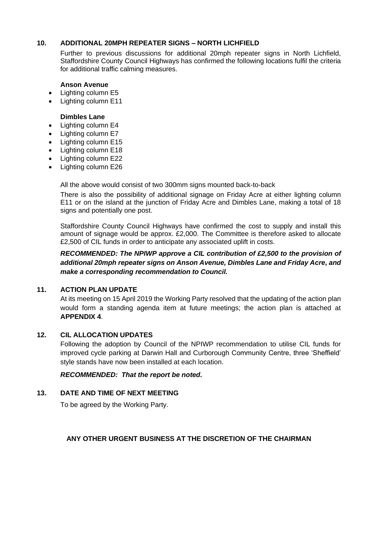#### **10. ADDITIONAL 20MPH REPEATER SIGNS – NORTH LICHFIELD**

Further to previous discussions for additional 20mph repeater signs in North Lichfield, Staffordshire County Council Highways has confirmed the following locations fulfil the criteria for additional traffic calming measures.

#### **Anson Avenue**

- Lighting column E5
- Lighting column E11

#### **Dimbles Lane**

- Lighting column E4
- Lighting column E7
- Lighting column E15
- Lighting column E18
- Lighting column E22
- Lighting column E26

All the above would consist of two 300mm signs mounted back-to-back

There is also the possibility of additional signage on Friday Acre at either lighting column E11 or on the island at the junction of Friday Acre and Dimbles Lane, making a total of 18 signs and potentially one post.

Staffordshire County Council Highways have confirmed the cost to supply and install this amount of signage would be approx. £2,000. The Committee is therefore asked to allocate £2,500 of CIL funds in order to anticipate any associated uplift in costs.

*RECOMMENDED: The NPIWP approve a CIL contribution of £2,500 to the provision of additional 20mph repeater signs on Anson Avenue, Dimbles Lane and Friday Acre, and make a corresponding recommendation to Council.*

#### **11. ACTION PLAN UPDATE**

At its meeting on 15 April 2019 the Working Party resolved that the updating of the action plan would form a standing agenda item at future meetings; the action plan is attached at **APPENDIX 4**.

#### **12. CIL ALLOCATION UPDATES**

Following the adoption by Council of the NPIWP recommendation to utilise CIL funds for improved cycle parking at Darwin Hall and Curborough Community Centre, three 'Sheffield' style stands have now been installed at each location.

#### *RECOMMENDED: That the report be noted.*

#### **13. DATE AND TIME OF NEXT MEETING**

To be agreed by the Working Party.

#### **ANY OTHER URGENT BUSINESS AT THE DISCRETION OF THE CHAIRMAN**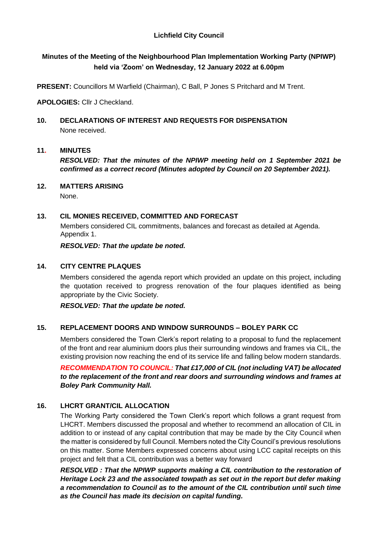#### **Lichfield City Council**

## **Minutes of the Meeting of the Neighbourhood Plan Implementation Working Party (NPIWP) held via 'Zoom' on Wednesday, 12 January 2022 at 6.00pm**

**PRESENT:** Councillors M Warfield (Chairman), C Ball, P Jones S Pritchard and M Trent.

**APOLOGIES:** Cllr J Checkland.

**10. DECLARATIONS OF INTEREST AND REQUESTS FOR DISPENSATION** None received.

#### **11. MINUTES**

*RESOLVED: That the minutes of the NPIWP meeting held on 1 September 2021 be confirmed as a correct record (Minutes adopted by Council on 20 September 2021).*

#### **12. MATTERS ARISING**

None.

#### **13. CIL MONIES RECEIVED, COMMITTED AND FORECAST**

Members considered CIL commitments, balances and forecast as detailed at Agenda. Appendix 1.

*RESOLVED: That the update be noted.*

#### **14. CITY CENTRE PLAQUES**

Members considered the agenda report which provided an update on this project, including the quotation received to progress renovation of the four plaques identified as being appropriate by the Civic Society.

*RESOLVED: That the update be noted.*

#### **15. REPLACEMENT DOORS AND WINDOW SURROUNDS – BOLEY PARK CC**

Members considered the Town Clerk's report relating to a proposal to fund the replacement of the front and rear aluminium doors plus their surrounding windows and frames via CIL, the existing provision now reaching the end of its service life and falling below modern standards.

*RECOMMENDATION TO COUNCIL: That £17,000 of CIL (not including VAT) be allocated to the replacement of the front and rear doors and surrounding windows and frames at Boley Park Community Hall.*

#### **16. LHCRT GRANT/CIL ALLOCATION**

The Working Party considered the Town Clerk's report which follows a grant request from LHCRT. Members discussed the proposal and whether to recommend an allocation of CIL in addition to or instead of any capital contribution that may be made by the City Council when the matter is considered by full Council. Members noted the City Council's previous resolutions on this matter. Some Members expressed concerns about using LCC capital receipts on this project and felt that a CIL contribution was a better way forward

*RESOLVED : That the NPIWP supports making a CIL contribution to the restoration of Heritage Lock 23 and the associated towpath as set out in the report but defer making a recommendation to Council as to the amount of the CIL contribution until such time as the Council has made its decision on capital funding.*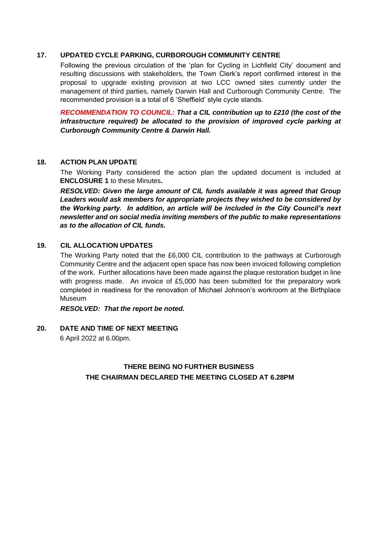#### **17. UPDATED CYCLE PARKING, CURBOROUGH COMMUNITY CENTRE**

Following the previous circulation of the 'plan for Cycling in Lichfield City' document and resulting discussions with stakeholders, the Town Clerk's report confirmed interest in the proposal to upgrade existing provision at two LCC owned sites currently under the management of third parties, namely Darwin Hall and Curborough Community Centre. The recommended provision is a total of 6 'Sheffield' style cycle stands.

*RECOMMENDATION TO COUNCIL: That a CIL contribution up to £210 (the cost of the*  infrastructure required) be allocated to the provision of improved cycle parking at *Curborough Community Centre & Darwin Hall.*

#### **18. ACTION PLAN UPDATE**

The Working Party considered the action plan the updated document is included at **ENCLOSURE 1** to these Minutes**.** 

*RESOLVED: Given the large amount of CIL funds available it was agreed that Group Leaders would ask members for appropriate projects they wished to be considered by the Working party. In addition, an article will be included in the City Council's next newsletter and on social media inviting members of the public to make representations as to the allocation of CIL funds.*

#### **19. CIL ALLOCATION UPDATES**

The Working Party noted that the £6,000 CIL contribution to the pathways at Curborough Community Centre and the adjacent open space has now been invoiced following completion of the work. Further allocations have been made against the plaque restoration budget in line with progress made. An invoice of £5,000 has been submitted for the preparatory work completed in readiness for the renovation of Michael Johnson's workroom at the Birthplace Museum

*RESOLVED: That the report be noted.*

## **20. DATE AND TIME OF NEXT MEETING**

6 April 2022 at 6.00pm.

## **THERE BEING NO FURTHER BUSINESS THE CHAIRMAN DECLARED THE MEETING CLOSED AT 6.28PM**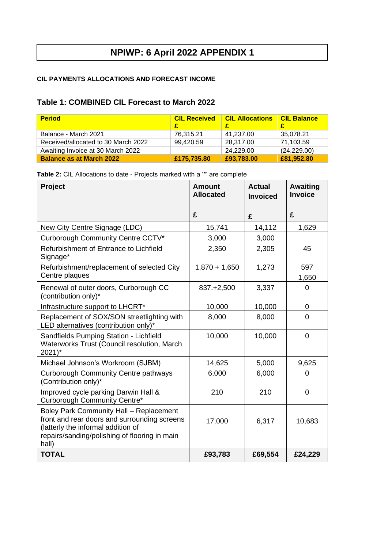#### **CIL PAYMENTS ALLOCATIONS AND FORECAST INCOME**

## **Table 1: COMBINED CIL Forecast to March 2022**

| <b>Period</b>                       | <b>CIL Received</b> | <b>CIL Allocations</b> | <b>CIL Balance</b> |
|-------------------------------------|---------------------|------------------------|--------------------|
| Balance - March 2021                | 76.315.21           | 41.237.00              | 35,078.21          |
| Received/allocated to 30 March 2022 | 99,420.59           | 28,317.00              | 71,103.59          |
| Awaiting Invoice at 30 March 2022   |                     | 24,229.00              | (24, 229.00)       |
| <b>Balance as at March 2022</b>     | £175,735.80         | £93,783.00             | £81,952.80         |

|  | Table 2: CIL Allocations to date - Projects marked with a "*" are complete |
|--|----------------------------------------------------------------------------|
|--|----------------------------------------------------------------------------|

| Project                                                                                                                                                                                 | <b>Amount</b><br><b>Allocated</b> | <b>Actual</b><br><b>Invoiced</b> | <b>Awaiting</b><br><b>Invoice</b> |
|-----------------------------------------------------------------------------------------------------------------------------------------------------------------------------------------|-----------------------------------|----------------------------------|-----------------------------------|
|                                                                                                                                                                                         | £                                 | £                                | £                                 |
| New City Centre Signage (LDC)                                                                                                                                                           | 15,741                            | 14,112                           | 1,629                             |
| Curborough Community Centre CCTV*                                                                                                                                                       | 3,000                             | 3,000                            |                                   |
| Refurbishment of Entrance to Lichfield<br>Signage*                                                                                                                                      | 2,350                             | 2,305                            | 45                                |
| Refurbishment/replacement of selected City<br>Centre plaques                                                                                                                            | $1,870 + 1,650$                   | 1,273                            | 597<br>1,650                      |
| Renewal of outer doors, Curborough CC<br>(contribution only)*                                                                                                                           | 837.+2,500                        | 3,337                            | $\overline{0}$                    |
| Infrastructure support to LHCRT*                                                                                                                                                        | 10,000                            | 10,000                           | 0                                 |
| Replacement of SOX/SON streetlighting with<br>LED alternatives (contribution only)*                                                                                                     | 8,000                             | 8,000                            | $\Omega$                          |
| Sandfields Pumping Station - Lichfield<br>Waterworks Trust (Council resolution, March<br>$2021$ <sup>*</sup>                                                                            | 10,000                            | 10,000                           | $\overline{0}$                    |
| Michael Johnson's Workroom (SJBM)                                                                                                                                                       | 14,625                            | 5,000                            | 9,625                             |
| <b>Curborough Community Centre pathways</b><br>(Contribution only)*                                                                                                                     | 6,000                             | 6,000                            | 0                                 |
| Improved cycle parking Darwin Hall &<br>Curborough Community Centre*                                                                                                                    | 210                               | 210                              | $\overline{0}$                    |
| Boley Park Community Hall - Replacement<br>front and rear doors and surrounding screens<br>(latterly the informal addition of<br>repairs/sanding/polishing of flooring in main<br>hall) | 17,000                            | 6,317                            | 10,683                            |
| <b>TOTAL</b>                                                                                                                                                                            | £93,783                           | £69,554                          | £24,229                           |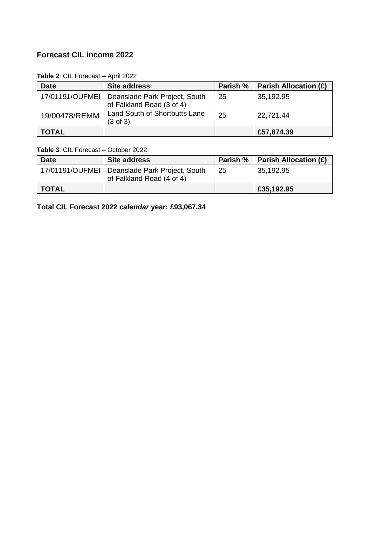## **Forecast CIL income 2022**

**Table 2**: CIL Forecast – April 2022

| <b>Date</b>     | <b>Site address</b>                                        | Parish % | <b>Parish Allocation (£)</b> |
|-----------------|------------------------------------------------------------|----------|------------------------------|
| 17/01191/OUFMEI | Deanslade Park Project, South<br>of Falkland Road (3 of 4) | -25      | 35,192.95                    |
| 19/00478/REMM   | Land South of Shortbutts Lane<br>$(3 \text{ of } 3)$       | 25       | 22,721.44                    |
| TOTAL           |                                                            |          | £57,874.39                   |

**Table 3**: CIL Forecast – October 2022

| <b>Date</b>  | Site address                                                                 |    | Parish %   Parish Allocation $(E)$ |
|--------------|------------------------------------------------------------------------------|----|------------------------------------|
|              | 17/01191/OUFMEI   Deanslade Park Project, South<br>of Falkland Road (4 of 4) | 25 | 35,192.95                          |
| <b>TOTAL</b> |                                                                              |    | £35,192.95                         |

**Total CIL Forecast 2022** *calendar* **year: £93,067.34**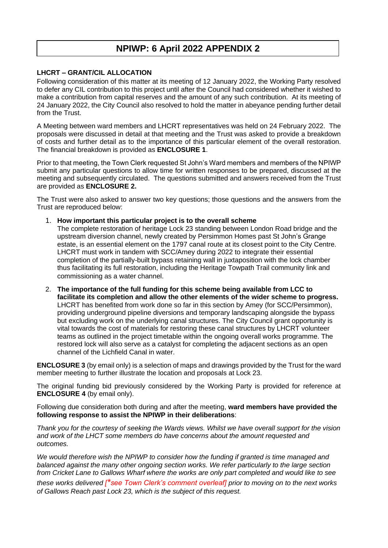#### **LHCRT – GRANT/CIL ALLOCATION**

Following consideration of this matter at its meeting of 12 January 2022, the Working Party resolved to defer any CIL contribution to this project until after the Council had considered whether it wished to make a contribution from capital reserves and the amount of any such contribution. At its meeting of 24 January 2022, the City Council also resolved to hold the matter in abeyance pending further detail from the Trust.

A Meeting between ward members and LHCRT representatives was held on 24 February 2022. The proposals were discussed in detail at that meeting and the Trust was asked to provide a breakdown of costs and further detail as to the importance of this particular element of the overall restoration. The financial breakdown is provided as **ENCLOSURE 1**.

Prior to that meeting, the Town Clerk requested St John's Ward members and members of the NPIWP submit any particular questions to allow time for written responses to be prepared, discussed at the meeting and subsequently circulated. The questions submitted and answers received from the Trust are provided as **ENCLOSURE 2.**

The Trust were also asked to answer two key questions; those questions and the answers from the Trust are reproduced below:

1. **How important this particular project is to the overall scheme**

The complete restoration of heritage Lock 23 standing between London Road bridge and the upstream diversion channel, newly created by Persimmon Homes past St John's Grange estate, is an essential element on the 1797 canal route at its closest point to the City Centre. LHCRT must work in tandem with SCC/Amey during 2022 to integrate their essential completion of the partially-built bypass retaining wall in juxtaposition with the lock chamber thus facilitating its full restoration, including the Heritage Towpath Trail community link and commissioning as a water channel.

2. **The importance of the full funding for this scheme being available from LCC to facilitate its completion and allow the other elements of the wider scheme to progress.** LHCRT has benefited from work done so far in this section by Amey (for SCC/Persimmon), providing underground pipeline diversions and temporary landscaping alongside the bypass but excluding work on the underlying canal structures. The City Council grant opportunity is vital towards the cost of materials for restoring these canal structures by LHCRT volunteer teams as outlined in the project timetable within the ongoing overall works programme. The restored lock will also serve as a catalyst for completing the adjacent sections as an open channel of the Lichfield Canal in water.

**ENCLOSURE 3** (by email only) is a selection of maps and drawings provided by the Trust for the ward member meeting to further illustrate the location and proposals at Lock 23.

The original funding bid previously considered by the Working Party is provided for reference at **ENCLOSURE 4** (by email only).

Following due consideration both during and after the meeting, **ward members have provided the following response to assist the NPIWP in their deliberations**:

*Thank you for the courtesy of seeking the Wards views. Whilst we have overall support for the vision and work of the LHCT some members do have concerns about the amount requested and outcomes.*

*We would therefore wish the NPIWP to consider how the funding if granted is time managed and balanced against the many other ongoing section works. We refer particularly to the large section from Cricket Lane to Gallows Wharf where the works are only part completed and would like to see these works delivered [\*see Town Clerk's comment overleaf] prior to moving on to the next works of Gallows Reach past Lock 23, which is the subject of this request.*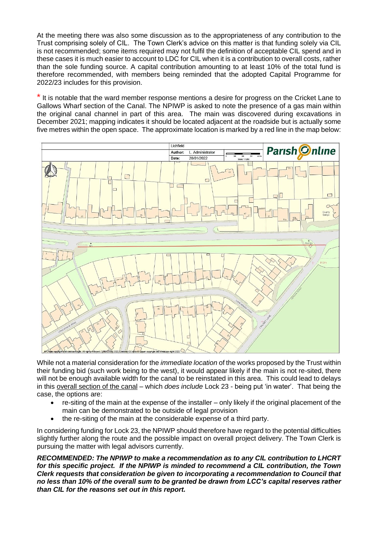At the meeting there was also some discussion as to the appropriateness of any contribution to the Trust comprising solely of CIL. The Town Clerk's advice on this matter is that funding solely via CIL is not recommended; some items required may not fulfil the definition of acceptable CIL spend and in these cases it is much easier to account to LDC for CIL when it is a contribution to overall costs, rather than the sole funding source. A capital contribution amounting to at least 10% of the total fund is therefore recommended, with members being reminded that the adopted Capital Programme for 2022/23 includes for this provision.

\* It is notable that the ward member response mentions a desire for progress on the Cricket Lane to Gallows Wharf section of the Canal. The NPIWP is asked to note the presence of a gas main within the original canal channel in part of this area. The main was discovered during excavations in December 2021; mapping indicates it should be located adjacent at the roadside but is actually some five metres within the open space. The approximate location is marked by a red line in the map below:



While not a material consideration for the *immediate location* of the works proposed by the Trust within their funding bid (such work being to the west), it would appear likely if the main is not re-sited, there will not be enough available width for the canal to be reinstated in this area. This could lead to delays in this overall section of the canal – which *does include* Lock 23 - being put 'in water'. That being the case, the options are:

- re-siting of the main at the expense of the installer only likely if the original placement of the main can be demonstrated to be outside of legal provision
- the re-siting of the main at the considerable expense of a third party.

In considering funding for Lock 23, the NPIWP should therefore have regard to the potential difficulties slightly further along the route and the possible impact on overall project delivery. The Town Clerk is pursuing the matter with legal advisors currently.

*RECOMMENDED: The NPIWP to make a recommendation as to any CIL contribution to LHCRT for this specific project. If the NPIWP is minded to recommend a CIL contribution, the Town Clerk requests that consideration be given to incorporating a recommendation to Council that no less than 10% of the overall sum to be granted be drawn from LCC's capital reserves rather than CIL for the reasons set out in this report.*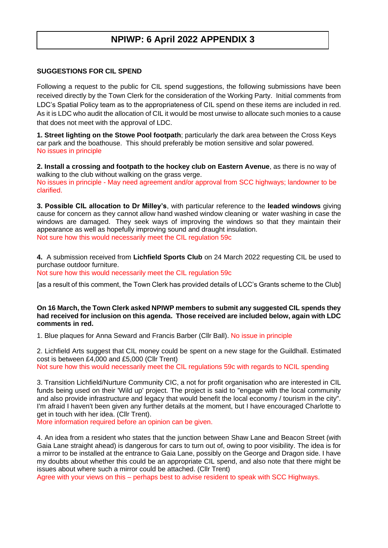#### **SUGGESTIONS FOR CIL SPEND**

Following a request to the public for CIL spend suggestions, the following submissions have been received directly by the Town Clerk for the consideration of the Working Party. Initial comments from LDC's Spatial Policy team as to the appropriateness of CIL spend on these items are included in red. As it is LDC who audit the allocation of CIL it would be most unwise to allocate such monies to a cause that does not meet with the approval of LDC.

**1. Street lighting on the Stowe Pool footpath**; particularly the dark area between the Cross Keys car park and the boathouse. This should preferably be motion sensitive and solar powered. No issues in principle

**2. Install a crossing and footpath to the hockey club on Eastern Avenue**, as there is no way of walking to the club without walking on the grass verge.

No issues in principle - May need agreement and/or approval from SCC highways; landowner to be clarified.

**3. Possible CIL allocation to Dr Milley's**, with particular reference to the **leaded windows** giving cause for concern as they cannot allow hand washed window cleaning or water washing in case the windows are damaged. They seek ways of improving the windows so that they maintain their appearance as well as hopefully improving sound and draught insulation. Not sure how this would necessarily meet the CIL regulation 59c

**4.** A submission received from **Lichfield Sports Club** on 24 March 2022 requesting CIL be used to purchase outdoor furniture.

Not sure how this would necessarily meet the CIL regulation 59c

[as a result of this comment, the Town Clerk has provided details of LCC's Grants scheme to the Club]

#### **On 16 March, the Town Clerk asked NPIWP members to submit any suggested CIL spends they had received for inclusion on this agenda. Those received are included below, again with LDC comments in red.**

1. Blue plaques for Anna Seward and Francis Barber (Cllr Ball). No issue in principle

2. Lichfield Arts suggest that CIL money could be spent on a new stage for the Guildhall. Estimated cost is between £4,000 and £5,000 (Cllr Trent) Not sure how this would necessarily meet the CIL regulations 59c with regards to NCIL spending

3. Transition Lichfield/Nurture Community CIC, a not for profit organisation who are interested in CIL funds being used on their 'Wild up' project. The project is said to "engage with the local community

and also provide infrastructure and legacy that would benefit the local economy / tourism in the city". I'm afraid I haven't been given any further details at the moment, but I have encouraged Charlotte to get in touch with her idea. (Cllr Trent).

More information required before an opinion can be given.

4. An idea from a resident who states that the junction between Shaw Lane and Beacon Street (with Gaia Lane straight ahead) is dangerous for cars to turn out of, owing to poor visibility. The idea is for a mirror to be installed at the entrance to Gaia Lane, possibly on the George and Dragon side. I have my doubts about whether this could be an appropriate CIL spend, and also note that there might be issues about where such a mirror could be attached. (Cllr Trent)

Agree with your views on this – perhaps best to advise resident to speak with SCC Highways.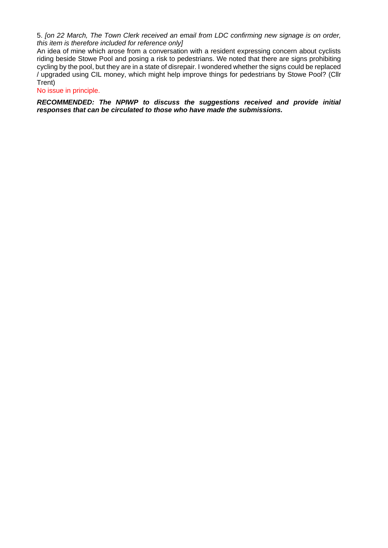5. *[on 22 March, The Town Clerk received an email from LDC confirming new signage is on order, this item is therefore included for reference only]*

An idea of mine which arose from a conversation with a resident expressing concern about cyclists riding beside Stowe Pool and posing a risk to pedestrians. We noted that there are signs prohibiting cycling by the pool, but they are in a state of disrepair. I wondered whether the signs could be replaced / upgraded using CIL money, which might help improve things for pedestrians by Stowe Pool? (Cllr Trent)

No issue in principle.

*RECOMMENDED: The NPIWP to discuss the suggestions received and provide initial responses that can be circulated to those who have made the submissions.*